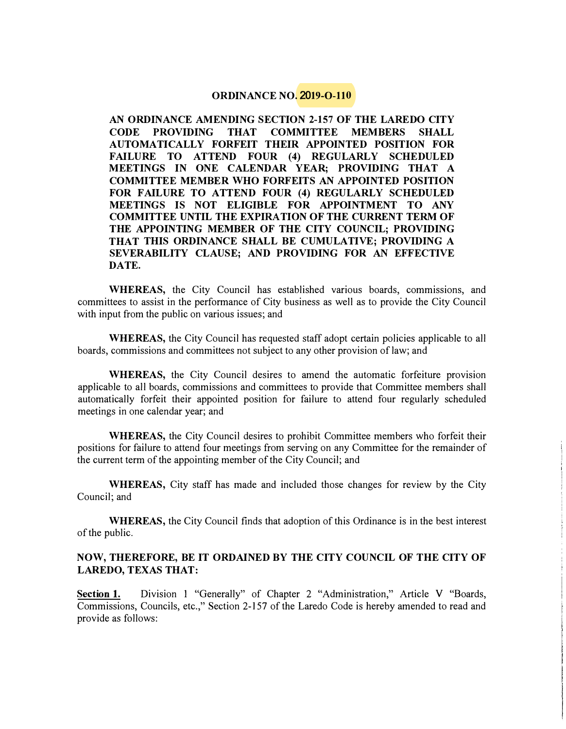#### **ORDINANCE NO. 2019-0-110**

**AN ORDINANCE AMENDING SECTION 2-157 OF THE LAREDO CITY CODE PROVIDING THAT COMMITTEE MEMBERS SHALL AUTO MA TI CALLY FORFEIT THEIR APPOINTED POSITION FOR FAILURE TO ATTEND FOUR (4) REGULARLY SCHEDULED MEETINGS IN ONE CALENDAR YEAR; PROVIDING THAT A COMMITTEE MEMBER WHO FORFEITS AN APPOINTED POSITION FOR FAILURE TO ATTEND FOUR (4) REGULARLY SCHEDULED MEETINGS IS NOT ELIGIBLE FOR APPOINTMENT TO ANY COMMITTEE UNTIL THE EXPIRATION OF THE CURRENT TERM OF THE APPOINTING MEMBER OF THE CITY COUNCIL; PROVIDING THAT THIS ORDINANCE SHALL BE CUMULATIVE; PROVIDING A SEVERABILITY CLAUSE; AND PROVIDING FOR AN EFFECTIVE DATE.** 

**WHEREAS,** the City Council has established various boards, commissions, and committees to assist in the performance of City business as well as to provide the City Council with input from the public on various issues; and

**WHEREAS,** the City Council has requested staff adopt certain policies applicable to all boards, commissions and committees not subject to any other provision of law; and

**WHEREAS,** the City Council desires to amend the automatic forfeiture provision applicable to all boards, commissions and committees to provide that Committee members shall automatically forfeit their appointed position for failure to attend four regularly scheduled meetings in one calendar year; and

**WHEREAS,** the City Council desires to prohibit Committee members who forfeit their positions for failure to attend four meetings from serving on any Committee for the remainder of the current term of the appointing member of the City Council; and

**WHEREAS,** City staff has made and included those changes for review by the City Council; and

**WHEREAS,** the City Council finds that adoption of this Ordinance is in the best interest of the public.

#### **NOW, THEREFORE, BE IT ORDAINED BY THE CITY COUNCIL OF THE CITY OF LAREDO, TEXAS THAT:**

**Section 1.** Division 1 "Generally" of Chapter 2 "Administration," Article V "Boards, Commissions, Councils, etc.," Section 2-157 of the Laredo Code is hereby amended to read and provide as follows: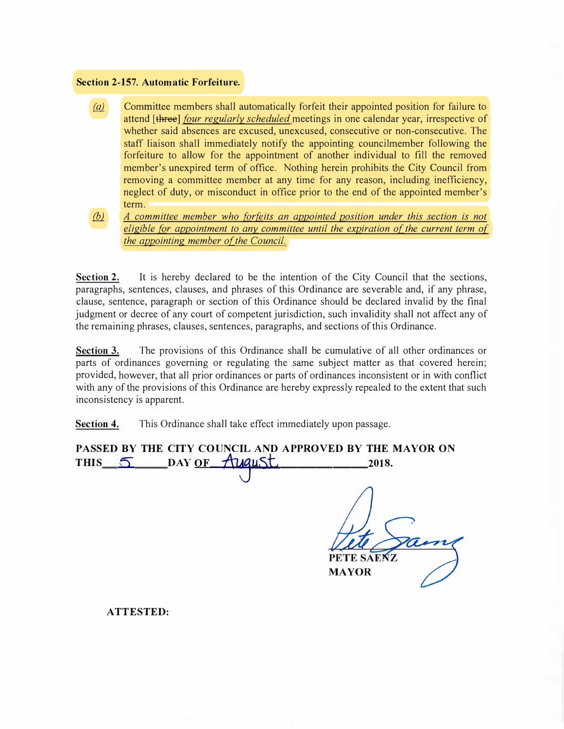#### **Section 2-157. Automatic Forfeiture.**

(a) Committee members shall automatically forfeit their appointed position for failure to attend [three] *four regularly scheduled* meetings in one calendar year, irrespective of whether said absences are excused, unexcused, consecutive or non-consecutive. The staff liaison shall immediately notify the appointing councilmember following the forfeiture to allow for the appointment of another individual to fill the removed member's unexpired term of office. Nothing herein prohibits the City Council from removing a committee member at any time for any reason, including inefficiency, neglect of duty, or misconduct in office prior to the end of the appointed member's term.

*[!2l A committee member who forfeits an appointed position under this section is not eligible for appointment to any committee until the expiration of the current term of the appointing member of the Council.* 

Section 2. It is hereby declared to be the intention of the City Council that the sections, paragraphs, sentences, clauses, and phrases of this Ordinance are severable and, if any phrase, clause, sentence, paragraph or section of this Ordinance should be declared invalid by the final judgment or decree of any court of competent jurisdiction, such invalidity shall not affect any of the remaining phrases, clauses, sentences, paragraphs, and sections of this Ordinance.

**Section 3.** The provisions of this Ordinance shall be cumulative of all other ordinances or parts of ordinances governing or regulating the same subject matter as that covered herein; provided, however, that all prior ordinances or parts of ordinances inconsistent or in with conflict with any of the provisions of this Ordinance are hereby expressly repealed to the extent that such inconsistency is apparent.

**Section 4.** This Ordinance shall take effect immediately upon passage.

**PASSED BY THE CITY COUNCIL AND APPROVED BY THE MAYOR ON**  THIS  $\overline{5}$  DAY OF  $\overline{A}$  **Liquist** 2018. PETE SAENZ **MAYOR** 

**ATTESTED:**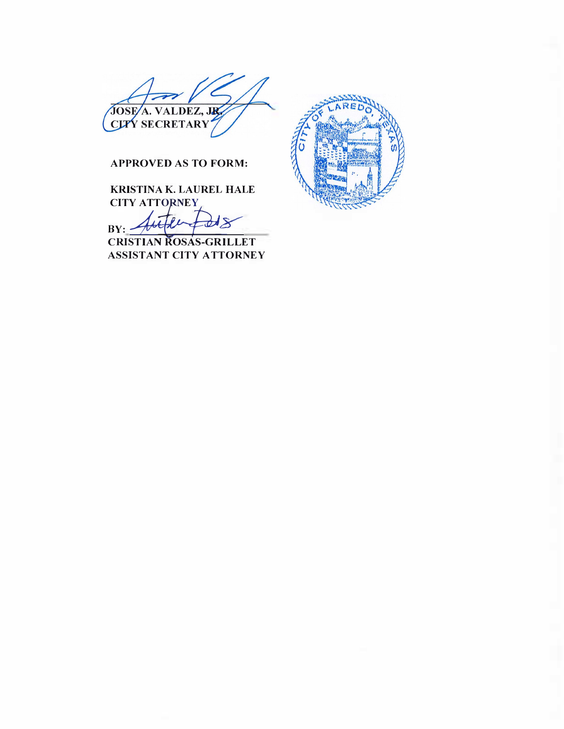

## **APPROVED AS TO FORM:**

**KRISTINA K. LAUREL HALE CITY ATTORNEY** 

 $BY: -$ 

**CRISTIAN ROSAS-GRILLET ASSISTANT CITY ATTORNEY** 

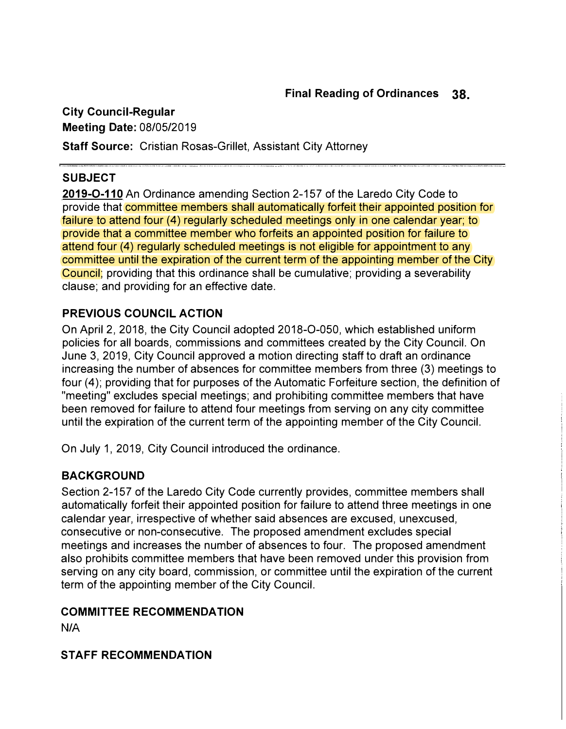**City Council-Regular Meeting Date:** 08/05/2019 **Staff Source:** Cristian Rosas-Grillet, Assistant City Attorney

# **SUBJECT**

**2019-0-11 0** An Ordinance amending Section 2-157 of the Laredo City Code to provide that committee members shall automatically forfeit their appointed position for failure to attend four (4) regularly scheduled meetings only in one calendar year; to provide that a committee member who forfeits an appointed position for failure to attend four (4) regularly scheduled meetings is not eligible for appointment to any committee until the expiration of the current term of the appointing member of the City Council; providing that this ordinance shall be cumulative; providing a severability clause; and providing for an effective date.

# **PREVIOUS COUNCIL ACTION**

On April 2, 2018, the City Council adopted 2018-0-050, which established uniform policies for all boards, commissions and committees created by the City Council. On June 3, 2019, City Council approved a motion directing staff to draft an ordinance increasing the number of absences for committee members from three (3) meetings to four (4); providing that for purposes of the Automatic Forfeiture section, the definition of "meeting" excludes special meetings; and prohibiting committee members that have been removed for failure to attend four meetings from serving on any city committee until the expiration of the current term of the appointing member of the City Council.

On July 1, 2019, City Council introduced the ordinance.

# **BACKGROUND**

Section 2-157 of the Laredo City Code currently provides, committee members shall automatically forfeit their appointed position for failure to attend three meetings in one calendar year, irrespective of whether said absences are excused, unexcused, consecutive or non-consecutive. The proposed amendment excludes special meetings and increases the number of absences to four. The proposed amendment also prohibits committee members that have been removed under this provision from serving on any city board, commission, or committee until the expiration of the current term of the appointing member of the City Council.

## **COMMITTEE RECOMMENDATION**

**N/A** 

## **STAFF RECOMMENDATION**